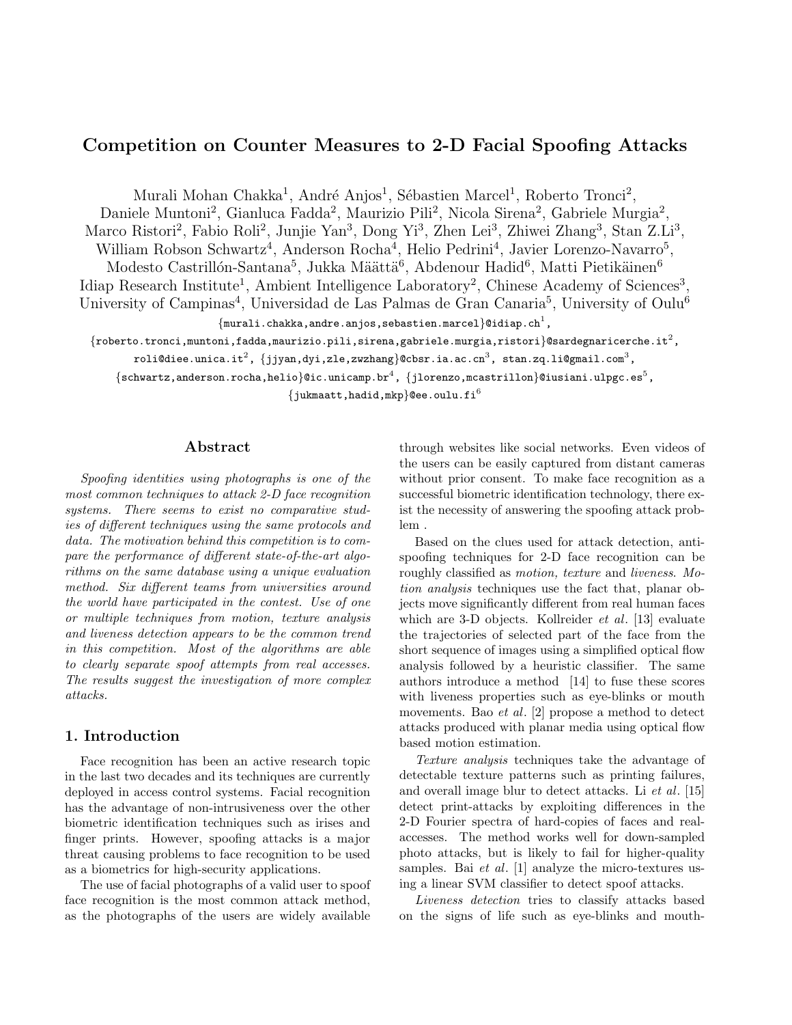# Competition on Counter Measures to 2-D Facial Spoofing Attacks

Murali Mohan Chakka<sup>1</sup>, André Anjos<sup>1</sup>, Sébastien Marcel<sup>1</sup>, Roberto Tronci<sup>2</sup>,

Daniele Muntoni<sup>2</sup>, Gianluca Fadda<sup>2</sup>, Maurizio Pili<sup>2</sup>, Nicola Sirena<sup>2</sup>, Gabriele Murgia<sup>2</sup>, Marco Ristori<sup>2</sup>, Fabio Roli<sup>2</sup>, Junjie Yan<sup>3</sup>, Dong Yi<sup>3</sup>, Zhen Lei<sup>3</sup>, Zhiwei Zhang<sup>3</sup>, Stan Z.Li<sup>3</sup>, William Robson Schwartz<sup>4</sup>, Anderson Rocha<sup>4</sup>, Helio Pedrini<sup>4</sup>, Javier Lorenzo-Navarro<sup>5</sup>, Modesto Castrillón-Santana<sup>5</sup>, Jukka Määttä<sup>6</sup>, Abdenour Hadid<sup>6</sup>, Matti Pietikäinen<sup>6</sup> Idiap Research Institute<sup>1</sup>, Ambient Intelligence Laboratory<sup>2</sup>, Chinese Academy of Sciences<sup>3</sup>, University of Campinas<sup>4</sup>, Universidad de Las Palmas de Gran Canaria<sup>5</sup>, University of Oulu<sup>6</sup>  $\{\texttt{murali}. \texttt{chakka}, \texttt{andre} . \texttt{anjos}, \texttt{sebastien} . \texttt{marcel}\}$ @idiap.ch $^1$ ,

 $\{\rm{robot}, \rm{tronci}, \rm{muntoni}, \rm{fadda}, \rm{maurizio.pili}, \rm{sirena}, \rm{gabriele}.\rm{murgia}, \rm{ristori}\}$ @sardegnaricerche.it $^2$ ,

```
roli@diee.unica.it^2, \{ {\rm jjyan,dyi,zle,zwzhang} \}@cbsr.ia.ac.cn^3, stan.zq.li@gmail.com^3,
```
 $\{{\tt schwartz},{{\tt anderson.rocha}},{{\tt help0}}$  .  ${\tt video}\}$  ( ${\tt id}$  . unicamp.br $^4$  ,  $\{{\tt jlorenzo},{{\tt meastrillon}}\}$  ( ${\tt luspc.es}^5$  ,

 $\{\text{jukmaatt}, \text{hadid}, \text{mkp}\}$ @ee.oulu.fi<sup>6</sup>

# Abstract

Spoofing identities using photographs is one of the most common techniques to attack 2-D face recognition systems. There seems to exist no comparative studies of different techniques using the same protocols and data. The motivation behind this competition is to compare the performance of different state-of-the-art algorithms on the same database using a unique evaluation method. Six different teams from universities around the world have participated in the contest. Use of one or multiple techniques from motion, texture analysis and liveness detection appears to be the common trend in this competition. Most of the algorithms are able to clearly separate spoof attempts from real accesses. The results suggest the investigation of more complex attacks.

# 1. Introduction

Face recognition has been an active research topic in the last two decades and its techniques are currently deployed in access control systems. Facial recognition has the advantage of non-intrusiveness over the other biometric identification techniques such as irises and finger prints. However, spoofing attacks is a major threat causing problems to face recognition to be used as a biometrics for high-security applications.

The use of facial photographs of a valid user to spoof face recognition is the most common attack method, as the photographs of the users are widely available

through websites like social networks. Even videos of the users can be easily captured from distant cameras without prior consent. To make face recognition as a successful biometric identification technology, there exist the necessity of answering the spoofing attack problem .

Based on the clues used for attack detection, antispoofing techniques for 2-D face recognition can be roughly classified as motion, texture and liveness. Motion analysis techniques use the fact that, planar objects move significantly different from real human faces which are 3-D objects. Kollreider et al. [13] evaluate the trajectories of selected part of the face from the short sequence of images using a simplified optical flow analysis followed by a heuristic classifier. The same authors introduce a method [14] to fuse these scores with liveness properties such as eye-blinks or mouth movements. Bao *et al.* [2] propose a method to detect attacks produced with planar media using optical flow based motion estimation.

Texture analysis techniques take the advantage of detectable texture patterns such as printing failures, and overall image blur to detect attacks. Li et al. [15] detect print-attacks by exploiting differences in the 2-D Fourier spectra of hard-copies of faces and realaccesses. The method works well for down-sampled photo attacks, but is likely to fail for higher-quality samples. Bai *et al.* [1] analyze the micro-textures using a linear SVM classifier to detect spoof attacks.

Liveness detection tries to classify attacks based on the signs of life such as eye-blinks and mouth-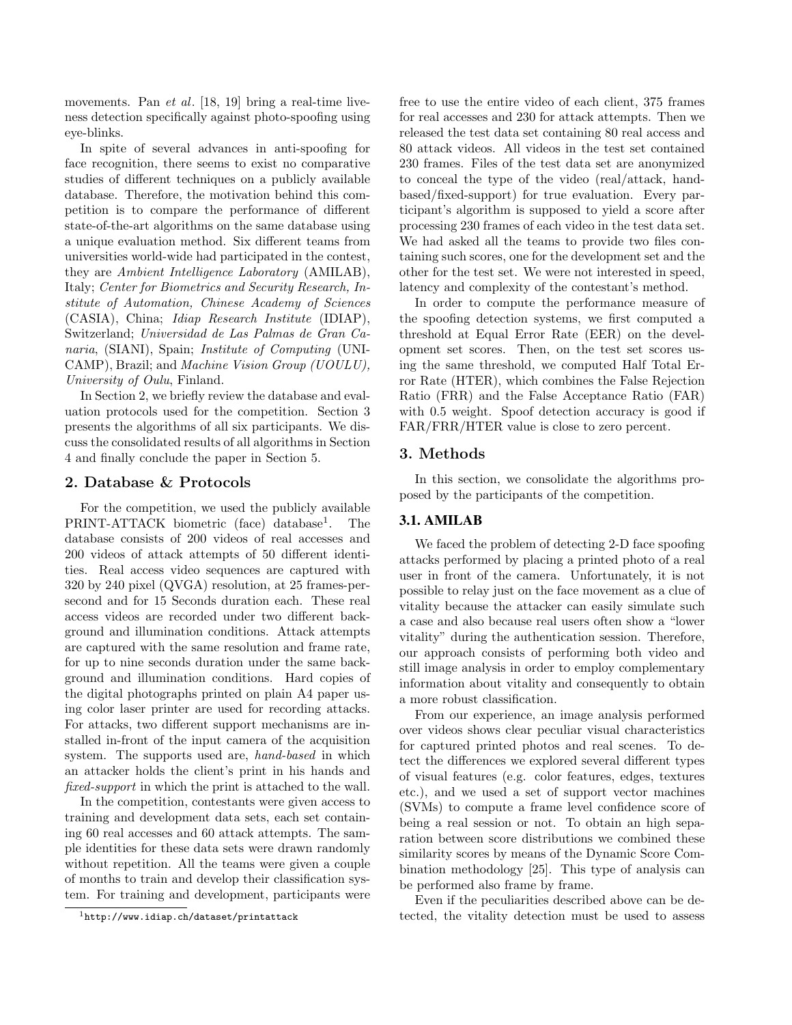movements. Pan *et al.* [18, 19] bring a real-time liveness detection specifically against photo-spoofing using eye-blinks.

In spite of several advances in anti-spoofing for face recognition, there seems to exist no comparative studies of different techniques on a publicly available database. Therefore, the motivation behind this competition is to compare the performance of different state-of-the-art algorithms on the same database using a unique evaluation method. Six different teams from universities world-wide had participated in the contest, they are Ambient Intelligence Laboratory (AMILAB), Italy; Center for Biometrics and Security Research, Institute of Automation, Chinese Academy of Sciences (CASIA), China; Idiap Research Institute (IDIAP), Switzerland; Universidad de Las Palmas de Gran Canaria, (SIANI), Spain; Institute of Computing (UNI-CAMP), Brazil; and Machine Vision Group (UOULU), University of Oulu, Finland.

In Section 2, we briefly review the database and evaluation protocols used for the competition. Section 3 presents the algorithms of all six participants. We discuss the consolidated results of all algorithms in Section 4 and finally conclude the paper in Section 5.

# 2. Database & Protocols

For the competition, we used the publicly available PRINT-ATTACK biometric (face) database<sup>1</sup>. . The database consists of 200 videos of real accesses and 200 videos of attack attempts of 50 different identities. Real access video sequences are captured with 320 by 240 pixel (QVGA) resolution, at 25 frames-persecond and for 15 Seconds duration each. These real access videos are recorded under two different background and illumination conditions. Attack attempts are captured with the same resolution and frame rate, for up to nine seconds duration under the same background and illumination conditions. Hard copies of the digital photographs printed on plain A4 paper using color laser printer are used for recording attacks. For attacks, two different support mechanisms are installed in-front of the input camera of the acquisition system. The supports used are, hand-based in which an attacker holds the client's print in his hands and fixed-support in which the print is attached to the wall.

In the competition, contestants were given access to training and development data sets, each set containing 60 real accesses and 60 attack attempts. The sample identities for these data sets were drawn randomly without repetition. All the teams were given a couple of months to train and develop their classification system. For training and development, participants were free to use the entire video of each client, 375 frames for real accesses and 230 for attack attempts. Then we released the test data set containing 80 real access and 80 attack videos. All videos in the test set contained 230 frames. Files of the test data set are anonymized to conceal the type of the video (real/attack, handbased/fixed-support) for true evaluation. Every participant's algorithm is supposed to yield a score after processing 230 frames of each video in the test data set. We had asked all the teams to provide two files containing such scores, one for the development set and the other for the test set. We were not interested in speed, latency and complexity of the contestant's method.

In order to compute the performance measure of the spoofing detection systems, we first computed a threshold at Equal Error Rate (EER) on the development set scores. Then, on the test set scores using the same threshold, we computed Half Total Error Rate (HTER), which combines the False Rejection Ratio (FRR) and the False Acceptance Ratio (FAR) with 0.5 weight. Spoof detection accuracy is good if FAR/FRR/HTER value is close to zero percent.

## 3. Methods

In this section, we consolidate the algorithms proposed by the participants of the competition.

# 3.1. AMILAB

We faced the problem of detecting 2-D face spoofing attacks performed by placing a printed photo of a real user in front of the camera. Unfortunately, it is not possible to relay just on the face movement as a clue of vitality because the attacker can easily simulate such a case and also because real users often show a "lower vitality" during the authentication session. Therefore, our approach consists of performing both video and still image analysis in order to employ complementary information about vitality and consequently to obtain a more robust classification.

From our experience, an image analysis performed over videos shows clear peculiar visual characteristics for captured printed photos and real scenes. To detect the differences we explored several different types of visual features (e.g. color features, edges, textures etc.), and we used a set of support vector machines (SVMs) to compute a frame level confidence score of being a real session or not. To obtain an high separation between score distributions we combined these similarity scores by means of the Dynamic Score Combination methodology [25]. This type of analysis can be performed also frame by frame.

Even if the peculiarities described above can be detected, the vitality detection must be used to assess

<sup>1</sup>http://www.idiap.ch/dataset/printattack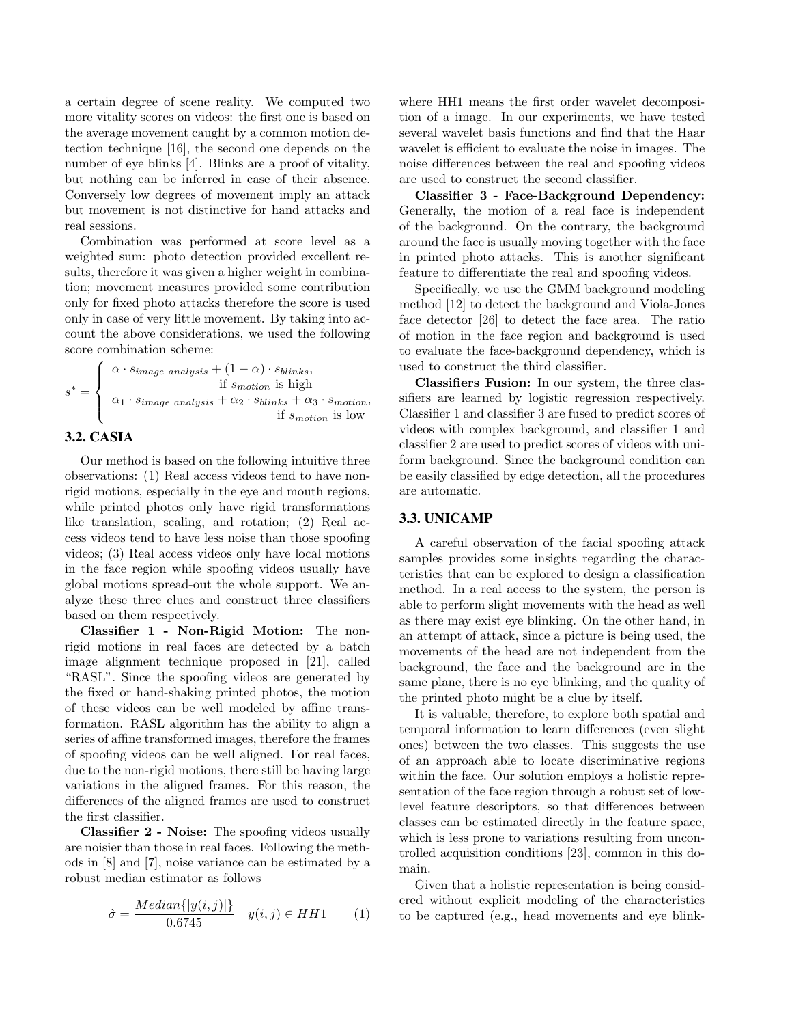a certain degree of scene reality. We computed two more vitality scores on videos: the first one is based on the average movement caught by a common motion detection technique [16], the second one depends on the number of eye blinks [4]. Blinks are a proof of vitality, but nothing can be inferred in case of their absence. Conversely low degrees of movement imply an attack but movement is not distinctive for hand attacks and real sessions.

Combination was performed at score level as a weighted sum: photo detection provided excellent results, therefore it was given a higher weight in combination; movement measures provided some contribution only for fixed photo attacks therefore the score is used only in case of very little movement. By taking into account the above considerations, we used the following score combination scheme:

$$
s^* = \begin{cases} \alpha \cdot s_{image\ analysis} + (1 - \alpha) \cdot s_{blinks}, \\ \text{if } s_{motion}\ \text{is high} \\ \alpha_1 \cdot s_{image\ analysis} + \alpha_2 \cdot s_{blinks} + \alpha_3 \cdot s_{motion}, \\ \text{if } s_{motion}\ \text{is low} \end{cases}
$$

## 3.2. CASIA

Our method is based on the following intuitive three observations: (1) Real access videos tend to have nonrigid motions, especially in the eye and mouth regions, while printed photos only have rigid transformations like translation, scaling, and rotation; (2) Real access videos tend to have less noise than those spoofing videos; (3) Real access videos only have local motions in the face region while spoofing videos usually have global motions spread-out the whole support. We analyze these three clues and construct three classifiers based on them respectively.

Classifier 1 - Non-Rigid Motion: The nonrigid motions in real faces are detected by a batch image alignment technique proposed in [21], called "RASL". Since the spoofing videos are generated by the fixed or hand-shaking printed photos, the motion of these videos can be well modeled by affine transformation. RASL algorithm has the ability to align a series of affine transformed images, therefore the frames of spoofing videos can be well aligned. For real faces, due to the non-rigid motions, there still be having large variations in the aligned frames. For this reason, the differences of the aligned frames are used to construct the first classifier.

Classifier 2 - Noise: The spoofing videos usually are noisier than those in real faces. Following the methods in [8] and [7], noise variance can be estimated by a robust median estimator as follows

$$
\hat{\sigma} = \frac{Median\{|y(i,j)|\}}{0.6745} \quad y(i,j) \in HH1 \tag{1}
$$

where HH1 means the first order wavelet decomposition of a image. In our experiments, we have tested several wavelet basis functions and find that the Haar wavelet is efficient to evaluate the noise in images. The noise differences between the real and spoofing videos are used to construct the second classifier.

Classifier 3 - Face-Background Dependency: Generally, the motion of a real face is independent of the background. On the contrary, the background around the face is usually moving together with the face in printed photo attacks. This is another significant feature to differentiate the real and spoofing videos.

Specifically, we use the GMM background modeling method [12] to detect the background and Viola-Jones face detector [26] to detect the face area. The ratio of motion in the face region and background is used to evaluate the face-background dependency, which is used to construct the third classifier.

Classifiers Fusion: In our system, the three classifiers are learned by logistic regression respectively. Classifier 1 and classifier 3 are fused to predict scores of videos with complex background, and classifier 1 and classifier 2 are used to predict scores of videos with uniform background. Since the background condition can be easily classified by edge detection, all the procedures are automatic.

# 3.3. UNICAMP

A careful observation of the facial spoofing attack samples provides some insights regarding the characteristics that can be explored to design a classification method. In a real access to the system, the person is able to perform slight movements with the head as well as there may exist eye blinking. On the other hand, in an attempt of attack, since a picture is being used, the movements of the head are not independent from the background, the face and the background are in the same plane, there is no eye blinking, and the quality of the printed photo might be a clue by itself.

It is valuable, therefore, to explore both spatial and temporal information to learn differences (even slight ones) between the two classes. This suggests the use of an approach able to locate discriminative regions within the face. Our solution employs a holistic representation of the face region through a robust set of lowlevel feature descriptors, so that differences between classes can be estimated directly in the feature space, which is less prone to variations resulting from uncontrolled acquisition conditions [23], common in this domain.

Given that a holistic representation is being considered without explicit modeling of the characteristics to be captured (e.g., head movements and eye blink-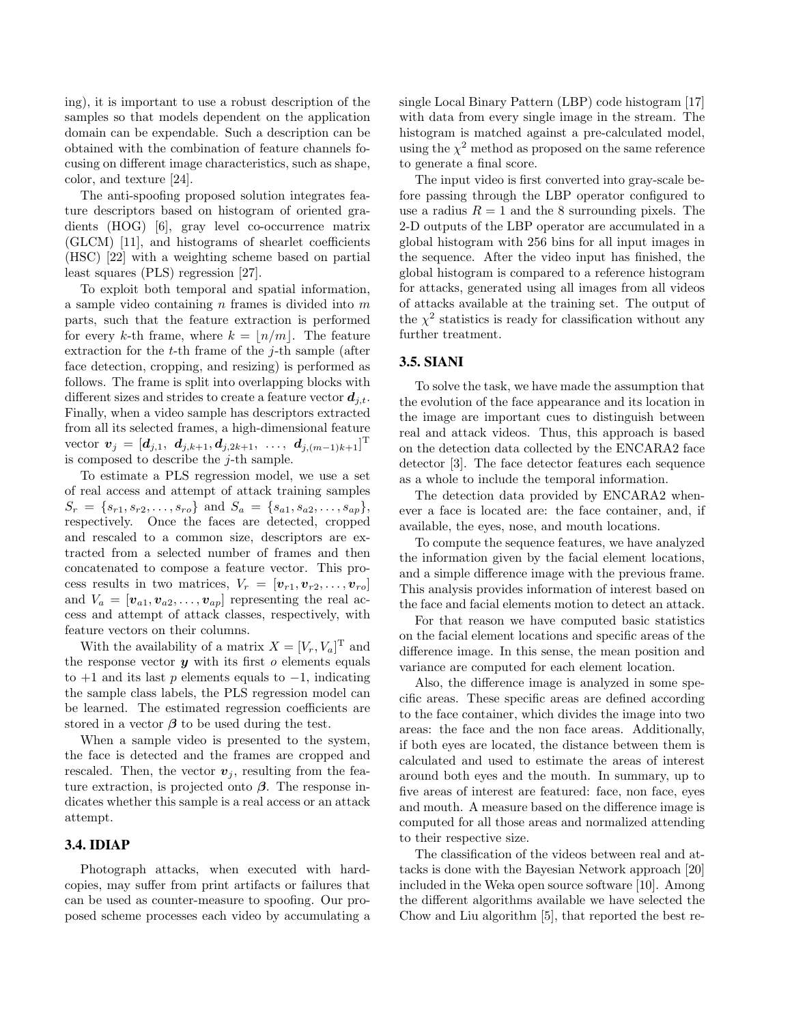ing), it is important to use a robust description of the samples so that models dependent on the application domain can be expendable. Such a description can be obtained with the combination of feature channels focusing on different image characteristics, such as shape, color, and texture [24].

The anti-spoofing proposed solution integrates feature descriptors based on histogram of oriented gradients (HOG) [6], gray level co-occurrence matrix (GLCM) [11], and histograms of shearlet coefficients (HSC) [22] with a weighting scheme based on partial least squares (PLS) regression [27].

To exploit both temporal and spatial information, a sample video containing  $n$  frames is divided into  $m$ parts, such that the feature extraction is performed for every k-th frame, where  $k = \lfloor n/m \rfloor$ . The feature extraction for the  $t$ -th frame of the  $j$ -th sample (after face detection, cropping, and resizing) is performed as follows. The frame is split into overlapping blocks with different sizes and strides to create a feature vector  $d_{i,t}$ . Finally, when a video sample has descriptors extracted from all its selected frames, a high-dimensional feature vector  $\bm{v}_j = [\bm{d}_{j,1}, \ \bm{d}_{j,k+1}, \bm{d}_{j,2k+1}, \ \ldots, \ \bm{d}_{j,(m-1)k+1}]^{\rm T}$ is composed to describe the  $j$ -th sample.

To estimate a PLS regression model, we use a set of real access and attempt of attack training samples  $S_r = \{s_{r1}, s_{r2}, \ldots, s_{ro}\}\$ and  $S_a = \{s_{a1}, s_{a2}, \ldots, s_{ap}\},$ respectively. Once the faces are detected, cropped and rescaled to a common size, descriptors are extracted from a selected number of frames and then concatenated to compose a feature vector. This process results in two matrices,  $V_r = [\mathbf{v}_{r1}, \mathbf{v}_{r2}, \dots, \mathbf{v}_{ro}]$ and  $V_a = [\mathbf{v}_{a1}, \mathbf{v}_{a2}, \dots, \mathbf{v}_{ap}]$  representing the real access and attempt of attack classes, respectively, with feature vectors on their columns.

With the availability of a matrix  $X = [V_r, V_a]^T$  and the response vector  $y$  with its first  $o$  elements equals to  $+1$  and its last p elements equals to  $-1$ , indicating the sample class labels, the PLS regression model can be learned. The estimated regression coefficients are stored in a vector  $\beta$  to be used during the test.

When a sample video is presented to the system, the face is detected and the frames are cropped and rescaled. Then, the vector  $v_j$ , resulting from the feature extraction, is projected onto  $\beta$ . The response indicates whether this sample is a real access or an attack attempt.

#### 3.4. IDIAP

Photograph attacks, when executed with hardcopies, may suffer from print artifacts or failures that can be used as counter-measure to spoofing. Our proposed scheme processes each video by accumulating a single Local Binary Pattern (LBP) code histogram [17] with data from every single image in the stream. The histogram is matched against a pre-calculated model, using the  $\chi^2$  method as proposed on the same reference to generate a final score.

The input video is first converted into gray-scale before passing through the LBP operator configured to use a radius  $R = 1$  and the 8 surrounding pixels. The 2-D outputs of the LBP operator are accumulated in a global histogram with 256 bins for all input images in the sequence. After the video input has finished, the global histogram is compared to a reference histogram for attacks, generated using all images from all videos of attacks available at the training set. The output of the  $\chi^2$  statistics is ready for classification without any further treatment.

# 3.5. SIANI

To solve the task, we have made the assumption that the evolution of the face appearance and its location in the image are important cues to distinguish between real and attack videos. Thus, this approach is based on the detection data collected by the ENCARA2 face detector [3]. The face detector features each sequence as a whole to include the temporal information.

The detection data provided by ENCARA2 whenever a face is located are: the face container, and, if available, the eyes, nose, and mouth locations.

To compute the sequence features, we have analyzed the information given by the facial element locations, and a simple difference image with the previous frame. This analysis provides information of interest based on the face and facial elements motion to detect an attack.

For that reason we have computed basic statistics on the facial element locations and specific areas of the difference image. In this sense, the mean position and variance are computed for each element location.

Also, the difference image is analyzed in some specific areas. These specific areas are defined according to the face container, which divides the image into two areas: the face and the non face areas. Additionally, if both eyes are located, the distance between them is calculated and used to estimate the areas of interest around both eyes and the mouth. In summary, up to five areas of interest are featured: face, non face, eyes and mouth. A measure based on the difference image is computed for all those areas and normalized attending to their respective size.

The classification of the videos between real and attacks is done with the Bayesian Network approach [20] included in the Weka open source software [10]. Among the different algorithms available we have selected the Chow and Liu algorithm [5], that reported the best re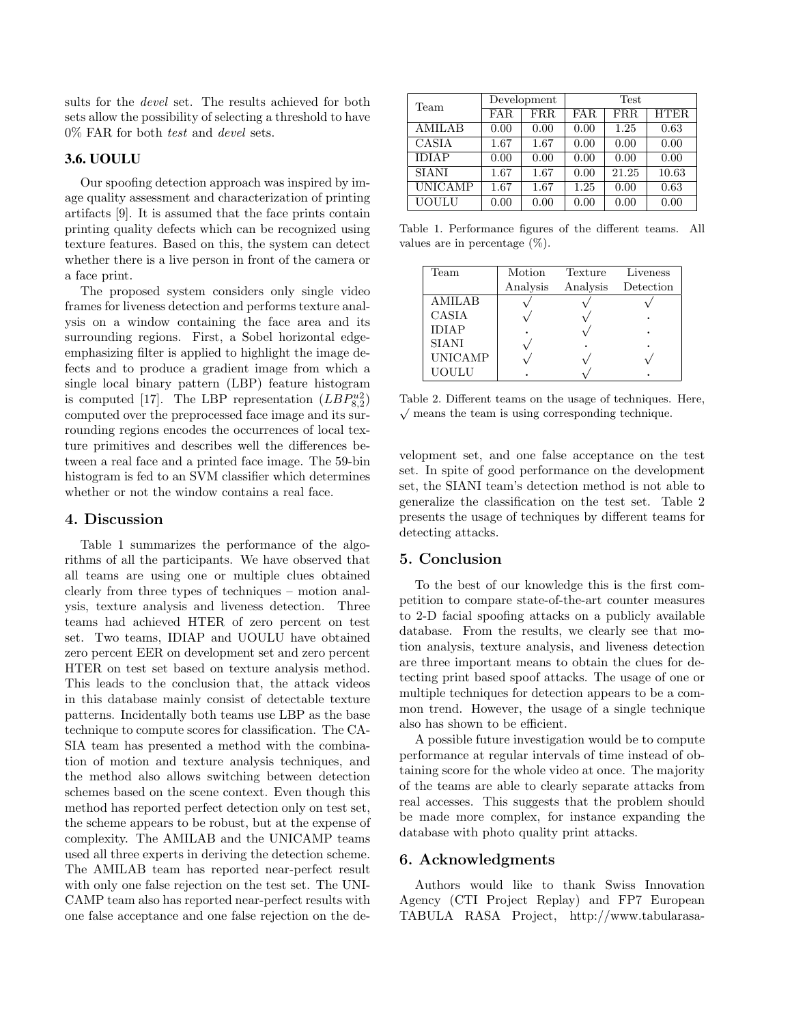sults for the devel set. The results achieved for both sets allow the possibility of selecting a threshold to have 0% FAR for both test and devel sets.

#### 3.6. UOULU

Our spoofing detection approach was inspired by image quality assessment and characterization of printing artifacts [9]. It is assumed that the face prints contain printing quality defects which can be recognized using texture features. Based on this, the system can detect whether there is a live person in front of the camera or a face print.

The proposed system considers only single video frames for liveness detection and performs texture analysis on a window containing the face area and its surrounding regions. First, a Sobel horizontal edgeemphasizing filter is applied to highlight the image defects and to produce a gradient image from which a single local binary pattern (LBP) feature histogram is computed [17]. The LBP representation  $(LBP_{8,2}^{u2})$ computed over the preprocessed face image and its surrounding regions encodes the occurrences of local texture primitives and describes well the differences between a real face and a printed face image. The 59-bin histogram is fed to an SVM classifier which determines whether or not the window contains a real face.

## 4. Discussion

Table 1 summarizes the performance of the algorithms of all the participants. We have observed that all teams are using one or multiple clues obtained clearly from three types of techniques – motion analysis, texture analysis and liveness detection. Three teams had achieved HTER of zero percent on test set. Two teams, IDIAP and UOULU have obtained zero percent EER on development set and zero percent HTER on test set based on texture analysis method. This leads to the conclusion that, the attack videos in this database mainly consist of detectable texture patterns. Incidentally both teams use LBP as the base technique to compute scores for classification. The CA-SIA team has presented a method with the combination of motion and texture analysis techniques, and the method also allows switching between detection schemes based on the scene context. Even though this method has reported perfect detection only on test set, the scheme appears to be robust, but at the expense of complexity. The AMILAB and the UNICAMP teams used all three experts in deriving the detection scheme. The AMILAB team has reported near-perfect result with only one false rejection on the test set. The UNI-CAMP team also has reported near-perfect results with one false acceptance and one false rejection on the de-

| Team           | Development |      | <b>Test</b> |            |       |
|----------------|-------------|------|-------------|------------|-------|
|                | <b>FAR</b>  | FRR. | FAR.        | <b>FRR</b> | HTER. |
| <b>AMILAB</b>  | 0.00        | 0.00 | 0.00        | 1.25       | 0.63  |
| <b>CASIA</b>   | 1.67        | 1.67 | 0.00        | 0.00       | 0.00  |
| <b>IDIAP</b>   | 0.00        | 0.00 | 0.00        | 0.00       | 0.00  |
| <b>SIANI</b>   | 1.67        | 1.67 | 0.00        | 21.25      | 10.63 |
| <b>UNICAMP</b> | 1.67        | 1.67 | 1.25        | 0.00       | 0.63  |
| <b>UOULU</b>   | 0.00        | 0.00 | 0.00        | 0.00       | 0.00  |

Table 1. Performance figures of the different teams. All values are in percentage (%).

| Team           | Motion   | Texture  | Liveness  |
|----------------|----------|----------|-----------|
|                | Analysis | Analysis | Detection |
| <b>AMILAB</b>  |          |          |           |
| CASIA          |          |          |           |
| <b>IDIAP</b>   |          |          |           |
| <b>SIANI</b>   |          |          |           |
| <b>UNICAMP</b> |          |          |           |
| UOULU          |          |          |           |

Table 2. Different teams on the usage of techniques. Here,  $\sqrt{\ }$  means the team is using corresponding technique.

velopment set, and one false acceptance on the test set. In spite of good performance on the development set, the SIANI team's detection method is not able to generalize the classification on the test set. Table 2 presents the usage of techniques by different teams for detecting attacks.

## 5. Conclusion

To the best of our knowledge this is the first competition to compare state-of-the-art counter measures to 2-D facial spoofing attacks on a publicly available database. From the results, we clearly see that motion analysis, texture analysis, and liveness detection are three important means to obtain the clues for detecting print based spoof attacks. The usage of one or multiple techniques for detection appears to be a common trend. However, the usage of a single technique also has shown to be efficient.

A possible future investigation would be to compute performance at regular intervals of time instead of obtaining score for the whole video at once. The majority of the teams are able to clearly separate attacks from real accesses. This suggests that the problem should be made more complex, for instance expanding the database with photo quality print attacks.

# 6. Acknowledgments

Authors would like to thank Swiss Innovation Agency (CTI Project Replay) and FP7 European TABULA RASA Project, http://www.tabularasa